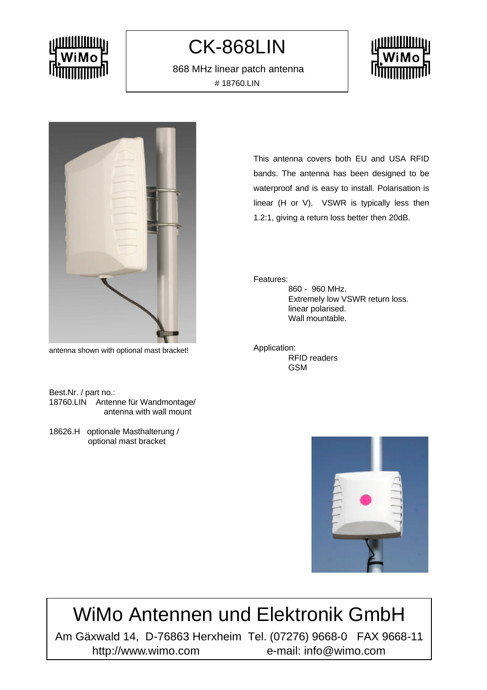## CK-868LIN

 868 MHz linear patch antenna # 18760.LIN





antenna shown with optional mast bracket!

Best.Nr. / part no.: 18760.LIN Antenne für Wandmontage/ antenna with wall mount

18626.H optionale Masthalterung / optional mast bracket

This antenna covers both EU and USA RFID bands. The antenna has been designed to be waterproof and is easy to install. Polarisation is linear (H or V). VSWR is typically less then 1.2:1, giving a return loss better then 20dB.

Features:

860 - 960 MHz. Extremely low VSWR return loss. linear polarised. Wall mountable.

Application: RFID readers GSM



# WiMo Antennen und Elektronik GmbH

Am Gäxwald 14, D-76863 Herxheim Tel. (07276) 9668-0 FAX 9668-11 http://www.wimo.com e-mail: info@wimo.com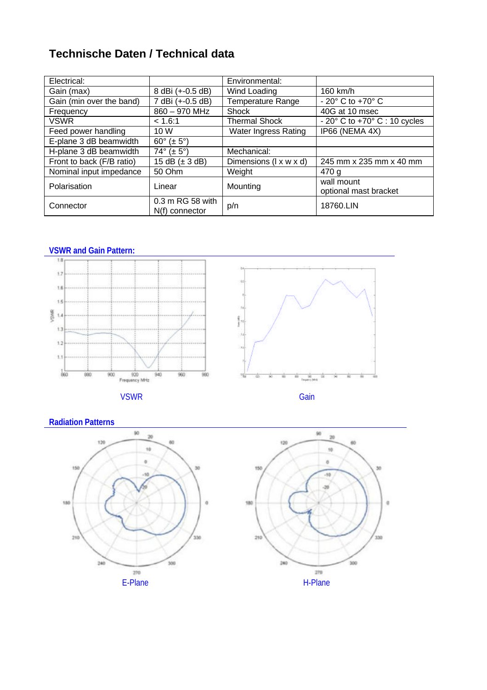### **Technische Daten / Technical data**

| Electrical:               |                                      | Environmental:              |                                                |
|---------------------------|--------------------------------------|-----------------------------|------------------------------------------------|
| Gain (max)                | 8 dBi (+-0.5 dB)                     | Wind Loading                | 160 km/h                                       |
| Gain (min over the band)  | 7 dBi (+-0.5 dB)                     | <b>Temperature Range</b>    | $-20^\circ$ C to $+70^\circ$ C                 |
| Frequency                 | 860 - 970 MHz                        | Shock                       | 40G at 10 msec                                 |
| <b>VSWR</b>               | < 1.6:1                              | <b>Thermal Shock</b>        | $-20^{\circ}$ C to $+70^{\circ}$ C : 10 cycles |
| Feed power handling       | 10 W                                 | <b>Water Ingress Rating</b> | IP66 (NEMA 4X)                                 |
| E-plane 3 dB beamwidth    | $60^{\circ}$ (± $5^{\circ}$ )        |                             |                                                |
| H-plane 3 dB beamwidth    | $74^{\circ}$ (± 5°)                  | Mechanical:                 |                                                |
| Front to back (F/B ratio) | 15 dB $(\pm 3$ dB)                   | Dimensions (I x w x d)      | 245 mm x 235 mm x 40 mm                        |
| Nominal input impedance   | 50 Ohm                               | Weight                      | 470 g                                          |
| Polarisation              | Linear                               | Mounting                    | wall mount<br>optional mast bracket            |
| Connector                 | 0.3 m RG 58 with<br>$N(f)$ connector | p/n                         | 18760.LIN                                      |

**VSWR and Gain Pattern:**



VSWR Gain